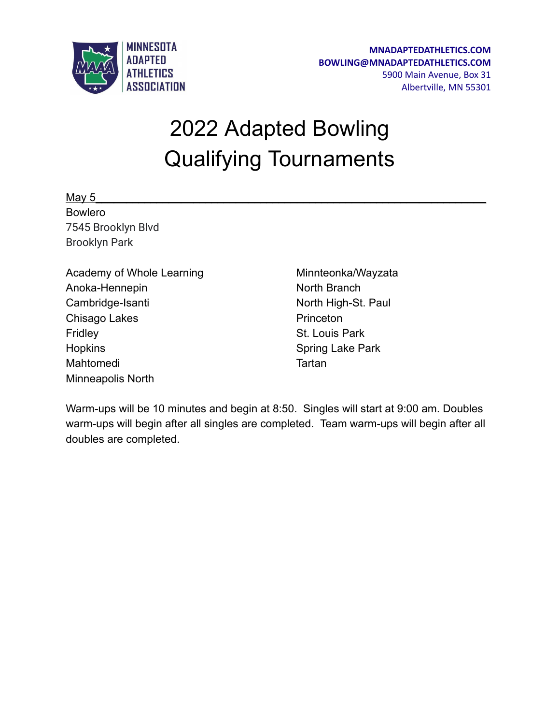

## 2022 Adapted Bowling Qualifying Tournaments

May 5\_\_\_\_\_\_\_\_\_\_\_\_\_\_\_\_\_\_\_\_\_\_\_\_\_\_\_\_\_\_\_\_\_\_\_\_\_\_\_\_\_\_\_\_\_\_\_\_\_\_\_\_\_\_\_\_\_\_\_\_\_\_\_\_ Bowlero 7545 Brooklyn Blvd Brooklyn Park

| Academy of Whole Learning |
|---------------------------|
| Anoka-Hennepin            |
| Cambridge-Isanti          |
| Chisago Lakes             |
| Fridley                   |
| <b>Hopkins</b>            |
| Mahtomedi                 |
| <b>Minneapolis North</b>  |
|                           |

Minnteonka/Wayzata North Branch North High-St. Paul **Princeton** St. Louis Park Spring Lake Park **Tartan** 

Warm-ups will be 10 minutes and begin at 8:50. Singles will start at 9:00 am. Doubles warm-ups will begin after all singles are completed. Team warm-ups will begin after all doubles are completed.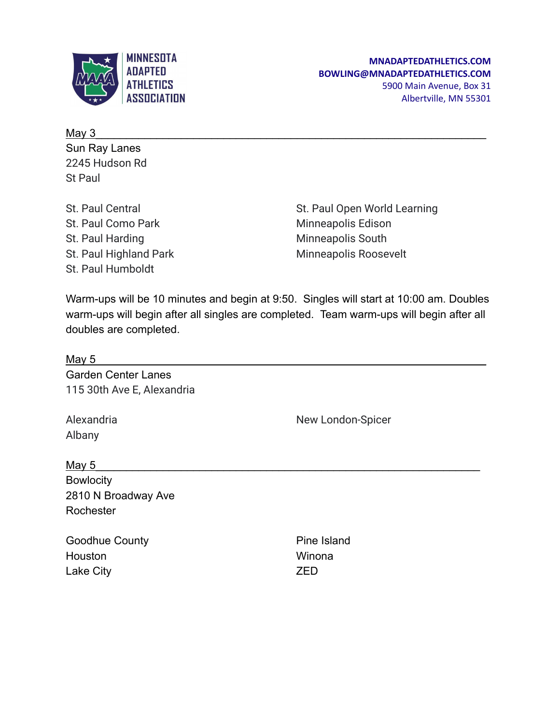

May 3  $\leq$ Sun Ray Lanes 2245 Hudson Rd St Paul

St. Paul Central St. Paul Como Park St. Paul Harding St. Paul Highland Park St. Paul Humboldt

St. Paul Open World Learning Minneapolis Edison Minneapolis South Minneapolis Roosevelt

Warm-ups will be 10 minutes and begin at 9:50. Singles will start at 10:00 am. Doubles warm-ups will begin after all singles are completed. Team warm-ups will begin after all doubles are completed.

| <b>May 5</b>               |                   |  |
|----------------------------|-------------------|--|
| <b>Garden Center Lanes</b> |                   |  |
| 115 30th Ave E, Alexandria |                   |  |
| Alexandria                 | New London-Spicer |  |
| Albany                     |                   |  |
| <u>May 5</u>               |                   |  |
| <b>Bowlocity</b>           |                   |  |
| 2810 N Broadway Ave        |                   |  |
| Rochester                  |                   |  |

Goodhue County **Houston** Lake City

Pine Island Winona ZED